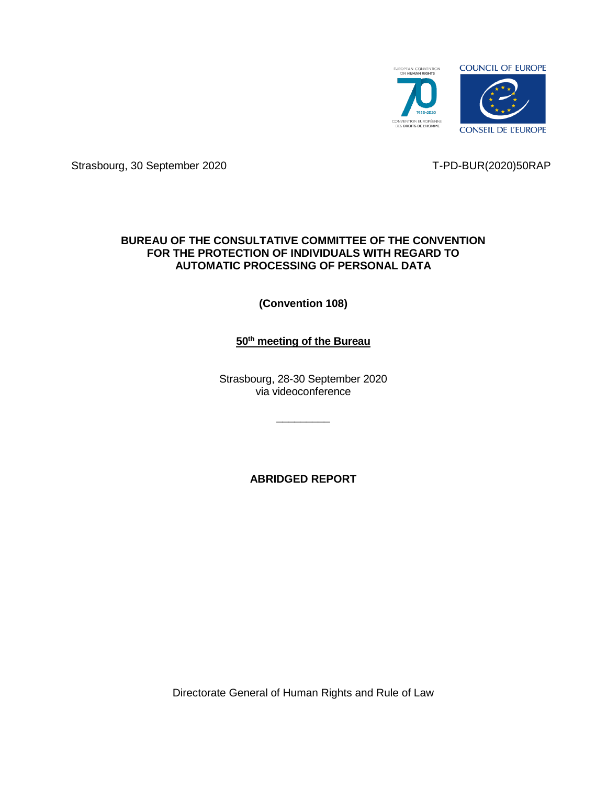

Strasbourg, 30 September 2020 T-PD-BUR(2020)50RAP

## **BUREAU OF THE CONSULTATIVE COMMITTEE OF THE CONVENTION FOR THE PROTECTION OF INDIVIDUALS WITH REGARD TO AUTOMATIC PROCESSING OF PERSONAL DATA**

**(Convention 108)**

# **50th meeting of the Bureau**

Strasbourg, 28-30 September 2020 via videoconference

 $\overline{\phantom{a}}$  , where  $\overline{\phantom{a}}$ 

**ABRIDGED REPORT**

Directorate General of Human Rights and Rule of Law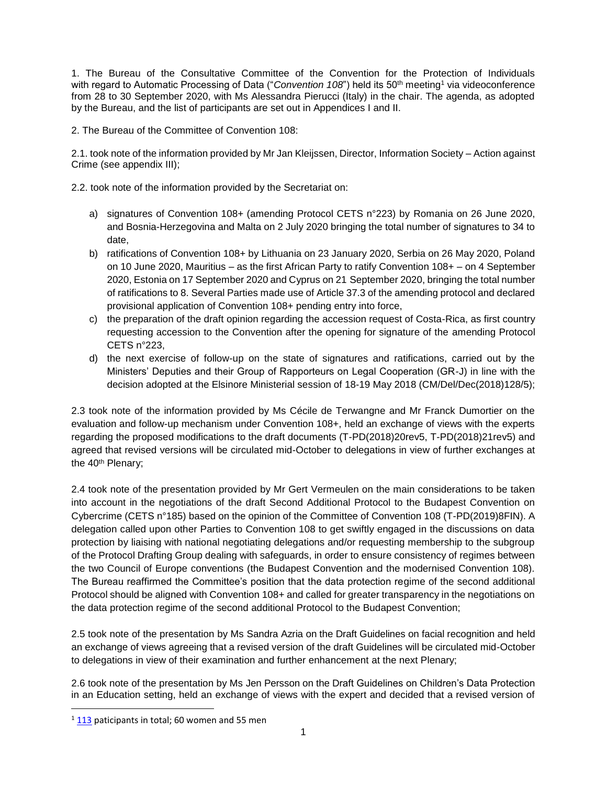1. The Bureau of the Consultative Committee of the Convention for the Protection of Individuals with regard to Automatic Processing of Data ("*Convention 108*") held its 50<sup>th</sup> meeting<sup>1</sup> via videoconference from 28 to 30 September 2020, with Ms Alessandra Pierucci (Italy) in the chair. The agenda, as adopted by the Bureau, and the list of participants are set out in Appendices I and II.

2. The Bureau of the Committee of Convention 108:

2.1. took note of the information provided by Mr Jan Kleijssen, Director, Information Society – Action against Crime (see appendix III);

2.2. took note of the information provided by the Secretariat on:

- a) signatures of Convention 108+ (amending Protocol CETS n°223) by Romania on 26 June 2020, and Bosnia-Herzegovina and Malta on 2 July 2020 bringing the total number of signatures to 34 to date,
- b) ratifications of Convention 108+ by Lithuania on 23 January 2020, Serbia on 26 May 2020, Poland on 10 June 2020, Mauritius – as the first African Party to ratify Convention 108+ – on 4 September 2020, Estonia on 17 September 2020 and Cyprus on 21 September 2020, bringing the total number of ratifications to 8. Several Parties made use of Article 37.3 of the amending protocol and declared provisional application of Convention 108+ pending entry into force,
- c) the preparation of the draft opinion regarding the accession request of Costa-Rica, as first country requesting accession to the Convention after the opening for signature of the amending Protocol CETS n°223,
- d) the next exercise of follow-up on the state of signatures and ratifications, carried out by the Ministers' Deputies and their Group of Rapporteurs on Legal Cooperation (GR-J) in line with the decision adopted at the Elsinore Ministerial session of 18-19 May 2018 (CM/Del/Dec(2018)128/5);

2.3 took note of the information provided by Ms Cécile de Terwangne and Mr Franck Dumortier on the evaluation and follow-up mechanism under Convention 108+, held an exchange of views with the experts regarding the proposed modifications to the draft documents (T-PD(2018)20rev5, T-PD(2018)21rev5) and agreed that revised versions will be circulated mid-October to delegations in view of further exchanges at the 40<sup>th</sup> Plenary;

2.4 took note of the presentation provided by Mr Gert Vermeulen on the main considerations to be taken into account in the negotiations of the draft Second Additional Protocol to the Budapest Convention on Cybercrime (CETS n°185) based on the opinion of the Committee of Convention 108 (T-PD(2019)8FIN). A delegation called upon other Parties to Convention 108 to get swiftly engaged in the discussions on data protection by liaising with national negotiating delegations and/or requesting membership to the subgroup of the Protocol Drafting Group dealing with safeguards, in order to ensure consistency of regimes between the two Council of Europe conventions (the Budapest Convention and the modernised Convention 108). The Bureau reaffirmed the Committee's position that the data protection regime of the second additional Protocol should be aligned with Convention 108+ and called for greater transparency in the negotiations on the data protection regime of the second additional Protocol to the Budapest Convention;

2.5 took note of the presentation by Ms Sandra Azria on the Draft Guidelines on facial recognition and held an exchange of views agreeing that a revised version of the draft Guidelines will be circulated mid-October to delegations in view of their examination and further enhancement at the next Plenary;

2.6 took note of the presentation by Ms Jen Persson on the Draft Guidelines on Children's Data Protection in an Education setting, held an exchange of views with the expert and decided that a revised version of

 $\overline{\phantom{a}}$ 

 $1\overline{113}$  $1\overline{113}$  $1\overline{113}$  paticipants in total; 60 women and 55 men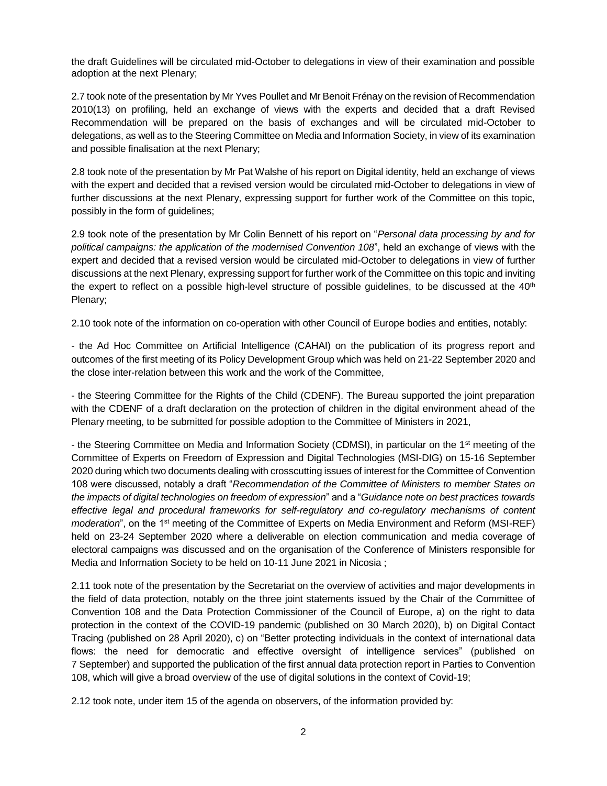the draft Guidelines will be circulated mid-October to delegations in view of their examination and possible adoption at the next Plenary;

2.7 took note of the presentation by Mr Yves Poullet and Mr Benoit Frénay on the revision of Recommendation 2010(13) on profiling, held an exchange of views with the experts and decided that a draft Revised Recommendation will be prepared on the basis of exchanges and will be circulated mid-October to delegations, as well as to the Steering Committee on Media and Information Society, in view of its examination and possible finalisation at the next Plenary;

2.8 took note of the presentation by Mr Pat Walshe of his report on Digital identity, held an exchange of views with the expert and decided that a revised version would be circulated mid-October to delegations in view of further discussions at the next Plenary, expressing support for further work of the Committee on this topic, possibly in the form of guidelines;

2.9 took note of the presentation by Mr Colin Bennett of his report on "*Personal data processing by and for political campaigns: the application of the modernised Convention 108*", held an exchange of views with the expert and decided that a revised version would be circulated mid-October to delegations in view of further discussions at the next Plenary, expressing support for further work of the Committee on this topic and inviting the expert to reflect on a possible high-level structure of possible guidelines, to be discussed at the  $40<sup>th</sup>$ Plenary;

2.10 took note of the information on co-operation with other Council of Europe bodies and entities, notably:

- the Ad Hoc Committee on Artificial Intelligence (CAHAI) on the publication of its progress report and outcomes of the first meeting of its Policy Development Group which was held on 21-22 September 2020 and the close inter-relation between this work and the work of the Committee,

- the Steering Committee for the Rights of the Child (CDENF). The Bureau supported the joint preparation with the CDENF of a draft declaration on the protection of children in the digital environment ahead of the Plenary meeting, to be submitted for possible adoption to the Committee of Ministers in 2021,

- the Steering Committee on Media and Information Society (CDMSI), in particular on the 1st meeting of the Committee of Experts on Freedom of Expression and Digital Technologies (MSI-DIG) on 15-16 September 2020 during which two documents dealing with crosscutting issues of interest for the Committee of Convention 108 were discussed, notably a draft "*Recommendation of the Committee of Ministers to member States on the impacts of digital technologies on freedom of expression*" and a "*Guidance note on best practices towards effective legal and procedural frameworks for self-regulatory and co-regulatory mechanisms of content moderation*", on the 1<sup>st</sup> meeting of the Committee of Experts on Media Environment and Reform (MSI-REF) held on 23-24 September 2020 where a deliverable on election communication and media coverage of electoral campaigns was discussed and on the organisation of the Conference of Ministers responsible for Media and Information Society to be held on 10-11 June 2021 in Nicosia ;

2.11 took note of the presentation by the Secretariat on the overview of activities and major developments in the field of data protection, notably on the three joint statements issued by the Chair of the Committee of Convention 108 and the Data Protection Commissioner of the Council of Europe, a) on the right to data protection in the context of the COVID-19 pandemic (published on 30 March 2020), b) on Digital Contact Tracing (published on 28 April 2020), c) on "Better protecting individuals in the context of international data flows: the need for democratic and effective oversight of intelligence services" (published on 7 September) and supported the publication of the first annual data protection report in Parties to Convention 108, which will give a broad overview of the use of digital solutions in the context of Covid-19;

2.12 took note, under item 15 of the agenda on observers, of the information provided by: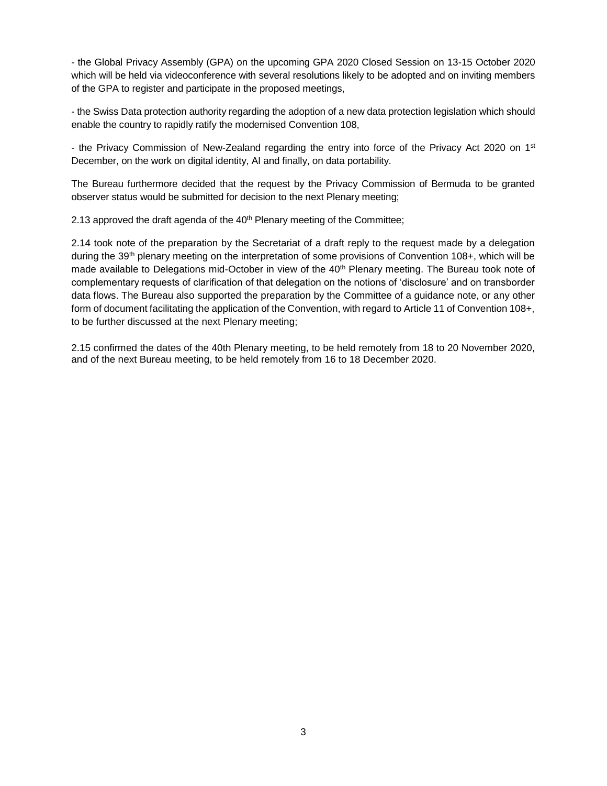- the Global Privacy Assembly (GPA) on the upcoming GPA 2020 Closed Session on 13-15 October 2020 which will be held via videoconference with several resolutions likely to be adopted and on inviting members of the GPA to register and participate in the proposed meetings,

- the Swiss Data protection authority regarding the adoption of a new data protection legislation which should enable the country to rapidly ratify the modernised Convention 108,

- the Privacy Commission of New-Zealand regarding the entry into force of the Privacy Act 2020 on 1<sup>st</sup> December, on the work on digital identity, AI and finally, on data portability.

The Bureau furthermore decided that the request by the Privacy Commission of Bermuda to be granted observer status would be submitted for decision to the next Plenary meeting;

2.13 approved the draft agenda of the 40<sup>th</sup> Plenary meeting of the Committee;

2.14 took note of the preparation by the Secretariat of a draft reply to the request made by a delegation during the 39<sup>th</sup> plenary meeting on the interpretation of some provisions of Convention 108+, which will be made available to Delegations mid-October in view of the 40<sup>th</sup> Plenary meeting. The Bureau took note of complementary requests of clarification of that delegation on the notions of 'disclosure' and on transborder data flows. The Bureau also supported the preparation by the Committee of a guidance note, or any other form of document facilitating the application of the Convention, with regard to Article 11 of Convention 108+, to be further discussed at the next Plenary meeting;

2.15 confirmed the dates of the 40th Plenary meeting, to be held remotely from 18 to 20 November 2020, and of the next Bureau meeting, to be held remotely from 16 to 18 December 2020.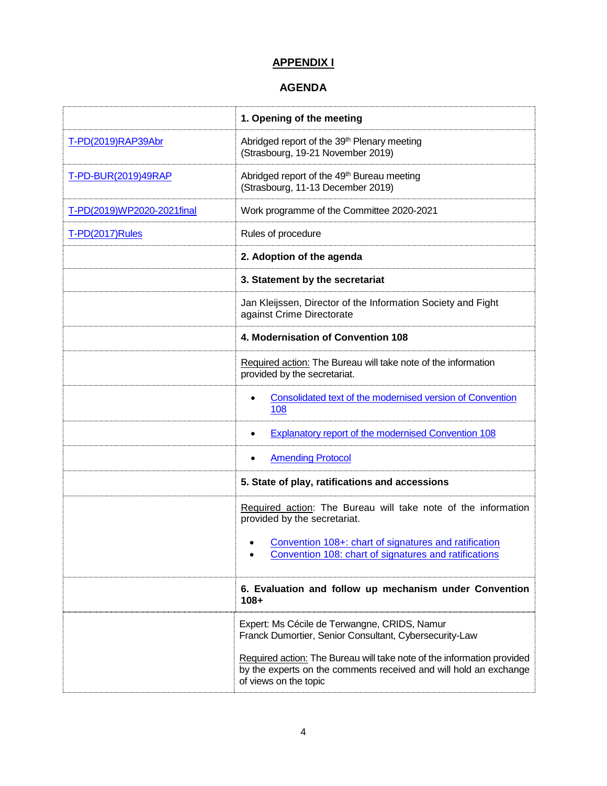# **APPENDIX I**

## **AGENDA**

|                            | 1. Opening of the meeting                                                                                                                                            |
|----------------------------|----------------------------------------------------------------------------------------------------------------------------------------------------------------------|
| T-PD(2019)RAP39Abr         | Abridged report of the 39 <sup>th</sup> Plenary meeting<br>(Strasbourg, 19-21 November 2019)                                                                         |
| T-PD-BUR(2019)49RAP        | Abridged report of the 49 <sup>th</sup> Bureau meeting<br>(Strasbourg, 11-13 December 2019)                                                                          |
| T-PD(2019)WP2020-2021final | Work programme of the Committee 2020-2021                                                                                                                            |
| T-PD(2017)Rules            | Rules of procedure                                                                                                                                                   |
|                            | 2. Adoption of the agenda                                                                                                                                            |
|                            | 3. Statement by the secretariat                                                                                                                                      |
|                            | Jan Kleijssen, Director of the Information Society and Fight<br>against Crime Directorate                                                                            |
|                            | 4. Modernisation of Convention 108                                                                                                                                   |
|                            | Required action: The Bureau will take note of the information<br>provided by the secretariat.                                                                        |
|                            | Consolidated text of the modernised version of Convention<br>108                                                                                                     |
|                            | <b>Explanatory report of the modernised Convention 108</b>                                                                                                           |
|                            | <b>Amending Protocol</b>                                                                                                                                             |
|                            | 5. State of play, ratifications and accessions                                                                                                                       |
|                            | Required action: The Bureau will take note of the information<br>provided by the secretariat.                                                                        |
|                            | Convention 108+: chart of signatures and ratification<br>$\bullet$<br>Convention 108: chart of signatures and ratifications                                          |
|                            | 6. Evaluation and follow up mechanism under Convention<br>$108 +$                                                                                                    |
|                            | Expert: Ms Cécile de Terwangne, CRIDS, Namur<br>Franck Dumortier, Senior Consultant, Cybersecurity-Law                                                               |
|                            | Required action: The Bureau will take note of the information provided<br>by the experts on the comments received and will hold an exchange<br>of views on the topic |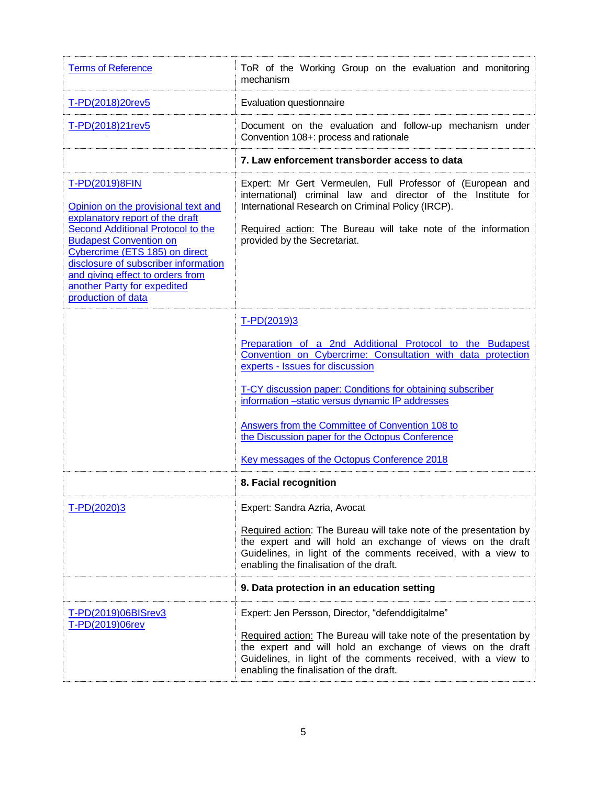| <b>Terms of Reference</b>                                                                                                                                                                                                                                                                                                         | ToR of the Working Group on the evaluation and monitoring<br>mechanism                                                                                                                                                                                                                                                                                                                                                                          |
|-----------------------------------------------------------------------------------------------------------------------------------------------------------------------------------------------------------------------------------------------------------------------------------------------------------------------------------|-------------------------------------------------------------------------------------------------------------------------------------------------------------------------------------------------------------------------------------------------------------------------------------------------------------------------------------------------------------------------------------------------------------------------------------------------|
| T-PD(2018)20rev5                                                                                                                                                                                                                                                                                                                  | Evaluation questionnaire                                                                                                                                                                                                                                                                                                                                                                                                                        |
| T-PD(2018)21rev5                                                                                                                                                                                                                                                                                                                  | Document on the evaluation and follow-up mechanism under<br>Convention 108+: process and rationale                                                                                                                                                                                                                                                                                                                                              |
|                                                                                                                                                                                                                                                                                                                                   | 7. Law enforcement transborder access to data                                                                                                                                                                                                                                                                                                                                                                                                   |
| T-PD(2019)8FIN<br>Opinion on the provisional text and<br>explanatory report of the draft<br>Second Additional Protocol to the<br><b>Budapest Convention on</b><br>Cybercrime (ETS 185) on direct<br>disclosure of subscriber information<br>and giving effect to orders from<br>another Party for expedited<br>production of data | Expert: Mr Gert Vermeulen, Full Professor of (European and<br>international) criminal law and director of the Institute for<br>International Research on Criminal Policy (IRCP).<br>Required action: The Bureau will take note of the information<br>provided by the Secretariat.                                                                                                                                                               |
|                                                                                                                                                                                                                                                                                                                                   | T-PD(2019)3<br>Preparation of a 2nd Additional Protocol to the Budapest<br>Convention on Cybercrime: Consultation with data protection<br>experts - Issues for discussion<br>T-CY discussion paper: Conditions for obtaining subscriber<br>information -static versus dynamic IP addresses<br>Answers from the Committee of Convention 108 to<br>the Discussion paper for the Octopus Conference<br>Key messages of the Octopus Conference 2018 |
|                                                                                                                                                                                                                                                                                                                                   | 8. Facial recognition                                                                                                                                                                                                                                                                                                                                                                                                                           |
| T-PD(2020)3                                                                                                                                                                                                                                                                                                                       | Expert: Sandra Azria, Avocat<br>Required action: The Bureau will take note of the presentation by<br>the expert and will hold an exchange of views on the draft<br>Guidelines, in light of the comments received, with a view to<br>enabling the finalisation of the draft.                                                                                                                                                                     |
|                                                                                                                                                                                                                                                                                                                                   | 9. Data protection in an education setting                                                                                                                                                                                                                                                                                                                                                                                                      |
| T-PD(2019)06BISrev3<br>T-PD(2019)06rev                                                                                                                                                                                                                                                                                            | Expert: Jen Persson, Director, "defenddigitalme"<br>Required action: The Bureau will take note of the presentation by<br>the expert and will hold an exchange of views on the draft<br>Guidelines, in light of the comments received, with a view to<br>enabling the finalisation of the draft.                                                                                                                                                 |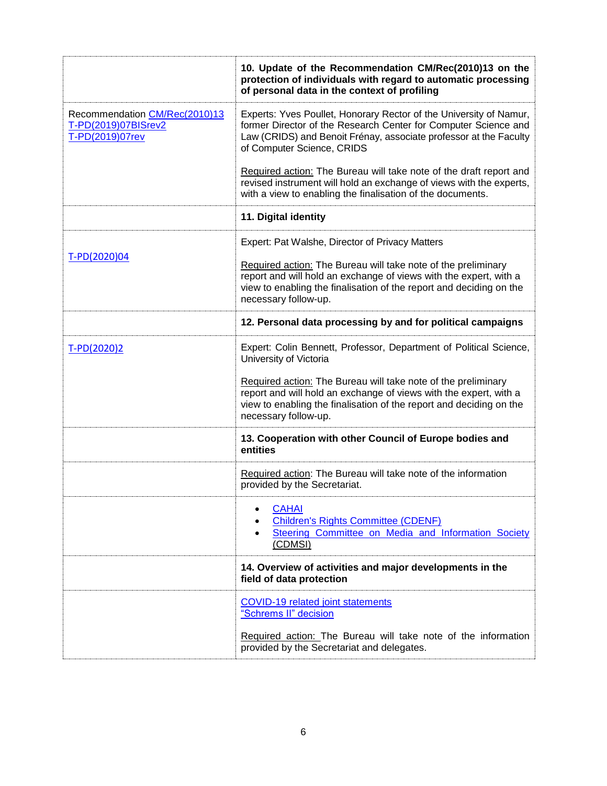|                                                                         | 10. Update of the Recommendation CM/Rec(2010)13 on the<br>protection of individuals with regard to automatic processing<br>of personal data in the context of profiling                                                                  |
|-------------------------------------------------------------------------|------------------------------------------------------------------------------------------------------------------------------------------------------------------------------------------------------------------------------------------|
| Recommendation CM/Rec(2010)13<br>T-PD(2019)07BISrev2<br>T-PD(2019)07rev | Experts: Yves Poullet, Honorary Rector of the University of Namur,<br>former Director of the Research Center for Computer Science and<br>Law (CRIDS) and Benoit Frénay, associate professor at the Faculty<br>of Computer Science, CRIDS |
|                                                                         | Required action: The Bureau will take note of the draft report and<br>revised instrument will hold an exchange of views with the experts,<br>with a view to enabling the finalisation of the documents.                                  |
|                                                                         | 11. Digital identity                                                                                                                                                                                                                     |
| T-PD(2020)04                                                            | Expert: Pat Walshe, Director of Privacy Matters                                                                                                                                                                                          |
|                                                                         | Required action: The Bureau will take note of the preliminary<br>report and will hold an exchange of views with the expert, with a<br>view to enabling the finalisation of the report and deciding on the<br>necessary follow-up.        |
|                                                                         | 12. Personal data processing by and for political campaigns                                                                                                                                                                              |
| T-PD(2020)2                                                             | Expert: Colin Bennett, Professor, Department of Political Science,<br>University of Victoria                                                                                                                                             |
|                                                                         | Required action: The Bureau will take note of the preliminary<br>report and will hold an exchange of views with the expert, with a<br>view to enabling the finalisation of the report and deciding on the<br>necessary follow-up.        |
|                                                                         | 13. Cooperation with other Council of Europe bodies and<br>entities                                                                                                                                                                      |
|                                                                         | Required action: The Bureau will take note of the information<br>provided by the Secretariat.                                                                                                                                            |
|                                                                         | <b>CAHAI</b><br><b>Children's Rights Committee (CDENF)</b><br>Steering Committee on Media and Information Society<br>(CDMSI)                                                                                                             |
|                                                                         | 14. Overview of activities and major developments in the<br>field of data protection                                                                                                                                                     |
|                                                                         | <b>COVID-19 related joint statements</b><br>"Schrems II" decision                                                                                                                                                                        |
|                                                                         | Required action: The Bureau will take note of the information<br>provided by the Secretariat and delegates.                                                                                                                              |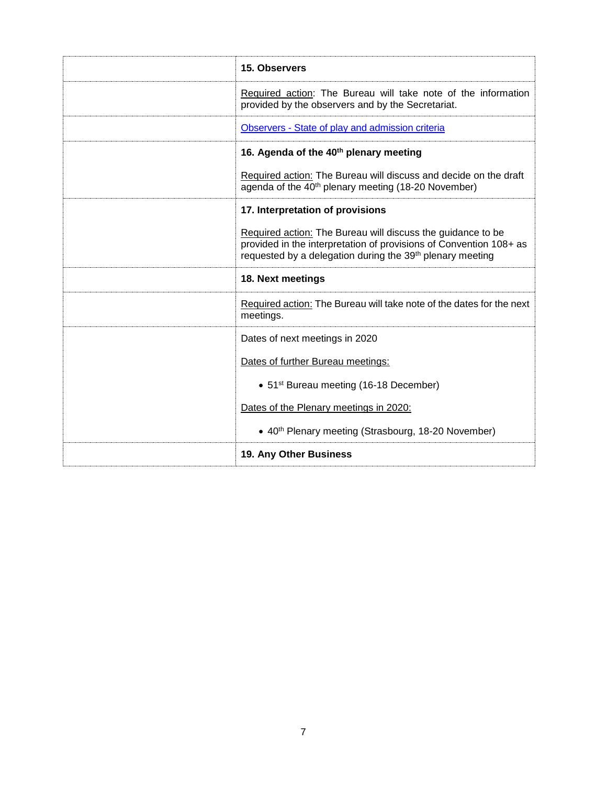| 15. Observers                                                                                                                                                                                              |
|------------------------------------------------------------------------------------------------------------------------------------------------------------------------------------------------------------|
| Required action: The Bureau will take note of the information<br>provided by the observers and by the Secretariat.                                                                                         |
| Observers - State of play and admission criteria                                                                                                                                                           |
| 16. Agenda of the 40 <sup>th</sup> plenary meeting                                                                                                                                                         |
| Required action: The Bureau will discuss and decide on the draft<br>agenda of the 40 <sup>th</sup> plenary meeting (18-20 November)                                                                        |
| 17. Interpretation of provisions                                                                                                                                                                           |
| Required action: The Bureau will discuss the guidance to be<br>provided in the interpretation of provisions of Convention 108+ as<br>requested by a delegation during the 39 <sup>th</sup> plenary meeting |
| 18. Next meetings                                                                                                                                                                                          |
| Required action: The Bureau will take note of the dates for the next<br>meetings.                                                                                                                          |
| Dates of next meetings in 2020                                                                                                                                                                             |
| Dates of further Bureau meetings:                                                                                                                                                                          |
| • 51 <sup>st</sup> Bureau meeting (16-18 December)                                                                                                                                                         |
| Dates of the Plenary meetings in 2020:                                                                                                                                                                     |
| • 40 <sup>th</sup> Plenary meeting (Strasbourg, 18-20 November)                                                                                                                                            |
| 19. Any Other Business                                                                                                                                                                                     |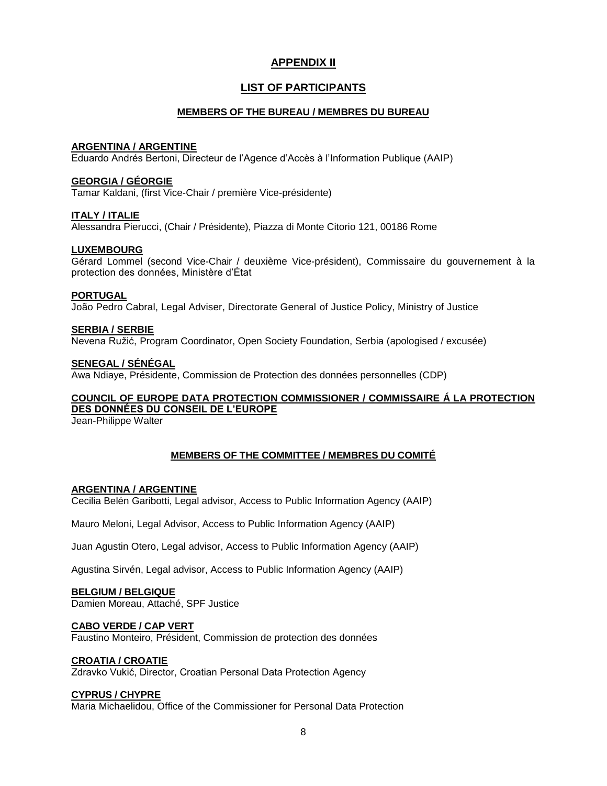## **APPENDIX II**

## **LIST OF PARTICIPANTS**

## **MEMBERS OF THE BUREAU / MEMBRES DU BUREAU**

## **ARGENTINA / ARGENTINE**

Eduardo Andrés Bertoni, Directeur de l'Agence d'Accès à l'Information Publique (AAIP)

## **GEORGIA / GÉORGIE**

Tamar Kaldani, (first Vice-Chair / première Vice-présidente)

#### **ITALY / ITALIE**

Alessandra Pierucci, (Chair / Présidente), Piazza di Monte Citorio 121, 00186 Rome

#### **LUXEMBOURG**

Gérard Lommel (second Vice-Chair / deuxième Vice-président), Commissaire du gouvernement à la protection des données, Ministère d'État

#### **PORTUGAL**

João Pedro Cabral, Legal Adviser, Directorate General of Justice Policy, Ministry of Justice

## **SERBIA / SERBIE** Nevena Ružić, Program Coordinator, Open Society Foundation, Serbia (apologised / excusée)

#### **SENEGAL / SÉNÉGAL**

Awa Ndiaye, Présidente, Commission de Protection des données personnelles (CDP)

## **COUNCIL OF EUROPE DATA PROTECTION COMMISSIONER / COMMISSAIRE Á LA PROTECTION DES DONNÉES DU CONSEIL DE L'EUROPE**

Jean-Philippe Walter

## **MEMBERS OF THE COMMITTEE / MEMBRES DU COMITÉ**

#### **ARGENTINA / ARGENTINE**

Cecilia Belén Garibotti, Legal advisor, Access to Public Information Agency (AAIP)

Mauro Meloni, Legal Advisor, Access to Public Information Agency (AAIP)

Juan Agustin Otero, Legal advisor, Access to Public Information Agency (AAIP)

Agustina Sirvén, Legal advisor, Access to Public Information Agency (AAIP)

#### **BELGIUM / BELGIQUE**

Damien Moreau, Attaché, SPF Justice

#### **CABO VERDE / CAP VERT**

Faustino Monteiro, Président, Commission de protection des données

#### **CROATIA / CROATIE**

Zdravko Vukić, Director, Croatian Personal Data Protection Agency

#### **CYPRUS / CHYPRE**

Maria Michaelidou, Office of the Commissioner for Personal Data Protection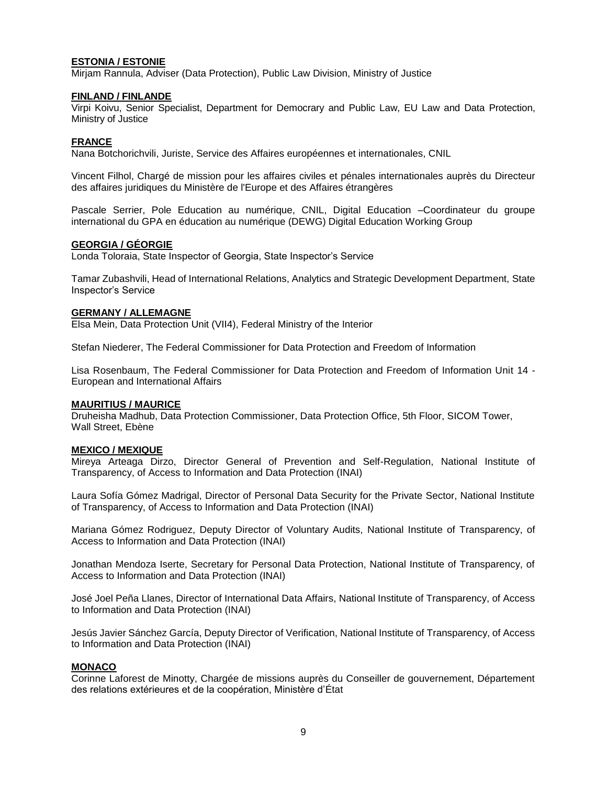#### **ESTONIA / ESTONIE**

Mirjam Rannula, Adviser (Data Protection), Public Law Division, Ministry of Justice

#### **FINLAND / FINLANDE**

Virpi Koivu, Senior Specialist, Department for Democrary and Public Law, EU Law and Data Protection, Ministry of Justice

#### **FRANCE**

Nana Botchorichvili, Juriste, Service des Affaires européennes et internationales, CNIL

Vincent Filhol, Chargé de mission pour les affaires civiles et pénales internationales auprès du Directeur des affaires juridiques du Ministère de l'Europe et des Affaires étrangères

Pascale Serrier, Pole Education au numérique, CNIL, Digital Education –Coordinateur du groupe international du GPA en éducation au numérique (DEWG) Digital Education Working Group

#### **GEORGIA / GÉORGIE**

Londa Toloraia, State Inspector of Georgia, State Inspector's Service

Tamar Zubashvili, Head of International Relations, Analytics and Strategic Development Department, State Inspector's Service

#### **GERMANY / ALLEMAGNE**

Elsa Mein, Data Protection Unit (VII4), Federal Ministry of the Interior

Stefan Niederer, The Federal Commissioner for Data Protection and Freedom of Information

Lisa Rosenbaum, The Federal Commissioner for Data Protection and Freedom of Information Unit 14 - European and International Affairs

#### **MAURITIUS / MAURICE**

Druheisha Madhub, Data Protection Commissioner, Data Protection Office, 5th Floor, SICOM Tower, Wall Street, Ebène

#### **MEXICO / MEXIQUE**

Mireya Arteaga Dirzo, Director General of Prevention and Self-Regulation, National Institute of Transparency, of Access to Information and Data Protection (INAI)

Laura Sofía Gómez Madrigal, Director of Personal Data Security for the Private Sector, National Institute of Transparency, of Access to Information and Data Protection (INAI)

Mariana Gómez Rodriguez, Deputy Director of Voluntary Audits, National Institute of Transparency, of Access to Information and Data Protection (INAI)

Jonathan Mendoza Iserte, Secretary for Personal Data Protection, National Institute of Transparency, of Access to Information and Data Protection (INAI)

José Joel Peña Llanes, Director of International Data Affairs, National Institute of Transparency, of Access to Information and Data Protection (INAI)

Jesús Javier Sánchez García, Deputy Director of Verification, National Institute of Transparency, of Access to Information and Data Protection (INAI)

#### **MONACO**

Corinne Laforest de Minotty, Chargée de missions auprès du Conseiller de gouvernement, Département des relations extérieures et de la coopération, Ministère d'État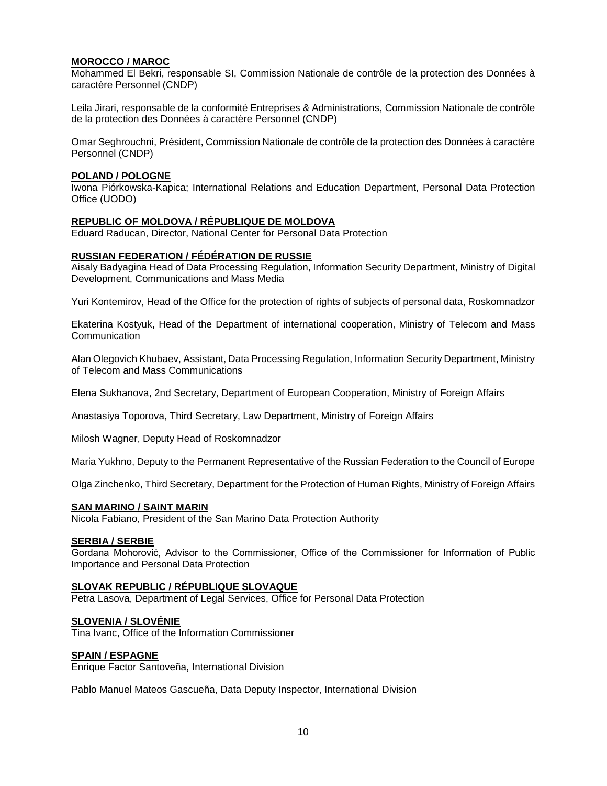## **MOROCCO / MAROC**

Mohammed El Bekri, responsable SI, Commission Nationale de contrôle de la protection des Données à caractère Personnel (CNDP)

Leila Jirari, responsable de la conformité Entreprises & Administrations, Commission Nationale de contrôle de la protection des Données à caractère Personnel (CNDP)

Omar Seghrouchni, Président, Commission Nationale de contrôle de la protection des Données à caractère Personnel (CNDP)

#### **POLAND / POLOGNE**

Iwona Piórkowska-Kapica; International Relations and Education Department, Personal Data Protection Office (UODO)

#### **REPUBLIC OF MOLDOVA / RÉPUBLIQUE DE MOLDOVA**

Eduard Raducan, Director, National Center for Personal Data Protection

#### **RUSSIAN FEDERATION / FÉDÉRATION DE RUSSIE**

Aisaly Badyagina Head of Data Processing Regulation, Information Security Department, Ministry of Digital Development, Communications and Mass Media

Yuri Kontemirov, Head of the Office for the protection of rights of subjects of personal data, Roskomnadzor

Ekaterina Kostyuk, Head of the Department of international cooperation, Ministry of Telecom and Mass Communication

Alan Olegovich Khubaev, Assistant, Data Processing Regulation, Information Security Department, Ministry of Telecom and Mass Communications

Elena Sukhanova, 2nd Secretary, Department of European Cooperation, Ministry of Foreign Affairs

Anastasiya Toporova, Third Secretary, Law Department, Ministry of Foreign Affairs

Milosh Wagner, Deputy Head of Roskomnadzor

Maria Yukhno, Deputy to the Permanent Representative of the Russian Federation to the Council of Europe

Olga Zinchenko, Third Secretary, Department for the Protection of Human Rights, Ministry of Foreign Affairs

#### **SAN MARINO / SAINT MARIN**

Nicola Fabiano, President of the San Marino Data Protection Authority

#### **SERBIA / SERBIE**

Gordana Mohorović, Advisor to the Commissioner, Office of the Commissioner for Information of Public Importance and Personal Data Protection

#### **SLOVAK REPUBLIC / RÉPUBLIQUE SLOVAQUE**

Petra Lasova, Department of Legal Services, Office for Personal Data Protection

#### **SLOVENIA / SLOVÉNIE**

Tina Ivanc, Office of the Information Commissioner

#### **SPAIN / ESPAGNE**

Enrique Factor Santoveña**,** International Division

Pablo Manuel Mateos Gascueña, Data Deputy Inspector, International Division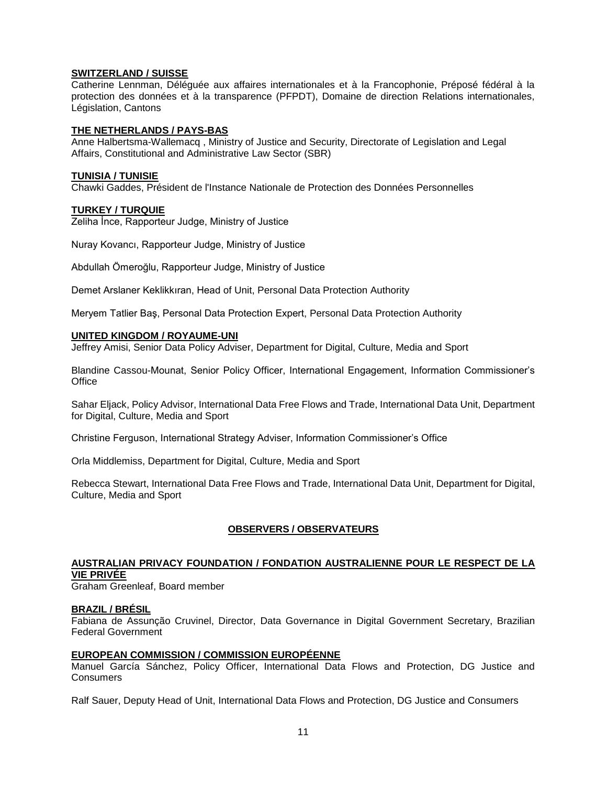### **SWITZERLAND / SUISSE**

Catherine Lennman, Déléguée aux affaires internationales et à la Francophonie, Préposé fédéral à la protection des données et à la transparence (PFPDT), Domaine de direction Relations internationales, Législation, Cantons

#### **THE NETHERLANDS / PAYS-BAS**

Anne Halbertsma-Wallemacq , Ministry of Justice and Security, Directorate of Legislation and Legal Affairs, Constitutional and Administrative Law Sector (SBR)

#### **TUNISIA / TUNISIE**

Chawki Gaddes, Président de l'Instance Nationale de Protection des Données Personnelles

#### **TURKEY / TURQUIE**

Zeliha İnce, Rapporteur Judge, Ministry of Justice

Nuray Kovancı, Rapporteur Judge, Ministry of Justice

Abdullah Ömeroğlu, Rapporteur Judge, Ministry of Justice

Demet Arslaner Keklikkıran, Head of Unit, Personal Data Protection Authority

Meryem Tatlier Baş, Personal Data Protection Expert, Personal Data Protection Authority

#### **UNITED KINGDOM / ROYAUME-UNI**

Jeffrey Amisi, Senior Data Policy Adviser, Department for Digital, Culture, Media and Sport

Blandine Cassou-Mounat, Senior Policy Officer, International Engagement, Information Commissioner's **Office** 

Sahar Eljack, Policy Advisor, International Data Free Flows and Trade, International Data Unit, Department for Digital, Culture, Media and Sport

Christine Ferguson, International Strategy Adviser, Information Commissioner's Office

Orla Middlemiss, Department for Digital, Culture, Media and Sport

Rebecca Stewart, International Data Free Flows and Trade, International Data Unit, Department for Digital, Culture, Media and Sport

#### **OBSERVERS / OBSERVATEURS**

## **AUSTRALIAN PRIVACY FOUNDATION / FONDATION AUSTRALIENNE POUR LE RESPECT DE LA VIE PRIVÉE**

Graham Greenleaf, Board member

#### **BRAZIL / BRÉSIL**

Fabiana de Assunção Cruvinel, Director, Data Governance in Digital Government Secretary, Brazilian Federal Government

#### **EUROPEAN COMMISSION / COMMISSION EUROPÉENNE**

Manuel García Sánchez, Policy Officer, International Data Flows and Protection, DG Justice and Consumers

Ralf Sauer, Deputy Head of Unit, International Data Flows and Protection, DG Justice and Consumers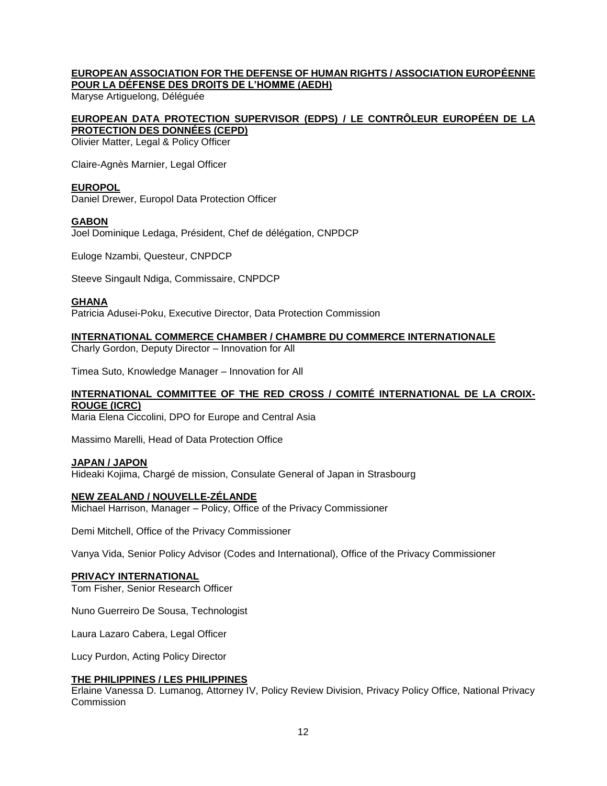## **EUROPEAN ASSOCIATION FOR THE DEFENSE OF HUMAN RIGHTS / ASSOCIATION EUROPÉENNE POUR LA DÉFENSE DES DROITS DE L'HOMME (AEDH)**

Maryse Artiguelong, Déléguée

### **EUROPEAN DATA PROTECTION SUPERVISOR (EDPS) / LE CONTRÔLEUR EUROPÉEN DE LA PROTECTION DES DONNÉES (CEPD)**

Olivier Matter, Legal & Policy Officer

Claire-Agnès Marnier, Legal Officer

## **EUROPOL**

Daniel Drewer, Europol Data Protection Officer

#### **GABON**

Joel Dominique Ledaga, Président, Chef de délégation, CNPDCP

Euloge Nzambi, Questeur, CNPDCP

Steeve Singault Ndiga, Commissaire, CNPDCP

## **GHANA**

Patricia Adusei-Poku, Executive Director, Data Protection Commission

#### **INTERNATIONAL COMMERCE CHAMBER / CHAMBRE DU COMMERCE INTERNATIONALE**

Charly Gordon, Deputy Director – Innovation for All

Timea Suto, Knowledge Manager – Innovation for All

## **INTERNATIONAL COMMITTEE OF THE RED CROSS / COMITÉ INTERNATIONAL DE LA CROIX-ROUGE (ICRC)**

Maria Elena Ciccolini, DPO for Europe and Central Asia

Massimo Marelli, Head of Data Protection Office

#### **JAPAN / JAPON**

Hideaki Kojima, Chargé de mission, Consulate General of Japan in Strasbourg

#### **NEW ZEALAND / NOUVELLE-ZÉLANDE**

Michael Harrison, Manager – Policy, Office of the Privacy Commissioner

Demi Mitchell, Office of the Privacy Commissioner

Vanya Vida, Senior Policy Advisor (Codes and International), Office of the Privacy Commissioner

#### **PRIVACY INTERNATIONAL**

Tom Fisher, Senior Research Officer

Nuno Guerreiro De Sousa, Technologist

Laura Lazaro Cabera, Legal Officer

Lucy Purdon, Acting Policy Director

#### **THE PHILIPPINES / LES PHILIPPINES**

Erlaine Vanessa D. Lumanog, Attorney IV, Policy Review Division, Privacy Policy Office, National Privacy Commission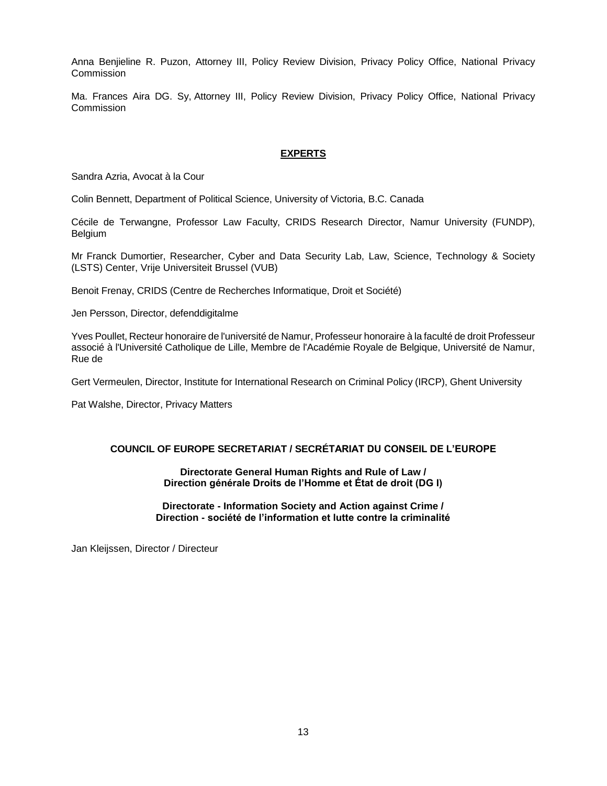Anna Benjieline R. Puzon, Attorney III, Policy Review Division, Privacy Policy Office, National Privacy **Commission** 

Ma. Frances Aira DG. Sy, Attorney III, Policy Review Division, Privacy Policy Office, National Privacy **Commission** 

#### **EXPERTS**

Sandra Azria, Avocat à la Cour

Colin Bennett, Department of Political Science, University of Victoria, B.C. Canada

Cécile de Terwangne, Professor Law Faculty, CRIDS Research Director, Namur University (FUNDP), Belgium

Mr Franck Dumortier, Researcher, Cyber and Data Security Lab, Law, Science, Technology & Society (LSTS) Center, Vrije Universiteit Brussel (VUB)

Benoit Frenay, CRIDS (Centre de Recherches Informatique, Droit et Société)

Jen Persson, Director, defenddigitalme

Yves Poullet, Recteur honoraire de l'université de Namur, Professeur honoraire à la faculté de droit Professeur associé à l'Université Catholique de Lille, Membre de l'Académie Royale de Belgique, Université de Namur, Rue de

Gert Vermeulen, Director, Institute for International Research on Criminal Policy (IRCP), Ghent University

Pat Walshe, Director, Privacy Matters

## **COUNCIL OF EUROPE SECRETARIAT / SECRÉTARIAT DU CONSEIL DE L'EUROPE**

**Directorate General Human Rights and Rule of Law / Direction générale Droits de l'Homme et État de droit (DG I)**

**Directorate - Information Society and Action against Crime / Direction - société de l'information et lutte contre la criminalité**

Jan Kleijssen, Director / Directeur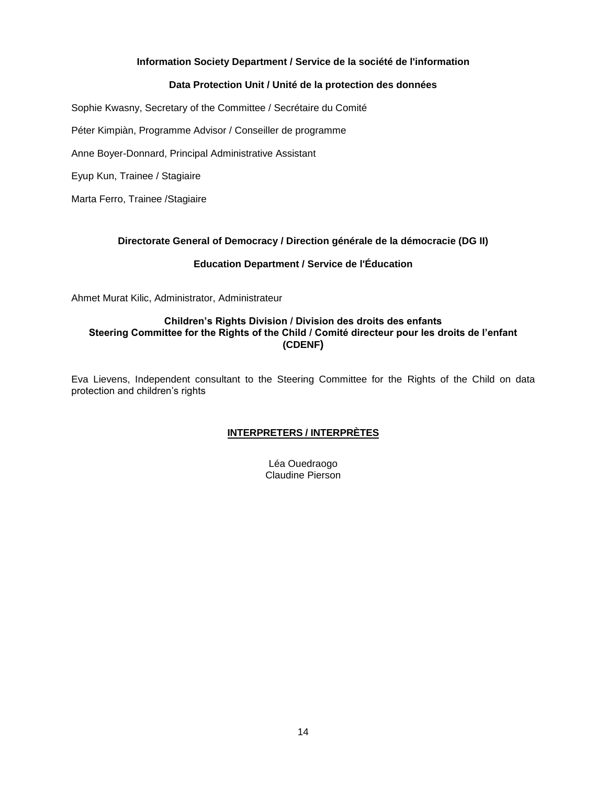## **Information Society Department / Service de la société de l'information**

## **Data Protection Unit / Unité de la protection des données**

Sophie Kwasny, Secretary of the Committee / Secrétaire du Comité

Péter Kimpiàn, Programme Advisor / Conseiller de programme

Anne Boyer-Donnard, Principal Administrative Assistant

Eyup Kun, Trainee / Stagiaire

Marta Ferro, Trainee /Stagiaire

## **Directorate General of Democracy / Direction générale de la démocracie (DG II)**

## **Education Department / Service de l'Éducation**

Ahmet Murat Kilic, Administrator, Administrateur

## **Children's Rights Division / Division des droits des enfants Steering Committee for the Rights of the Child / Comité directeur pour les droits de l'enfant (CDENF)**

Eva Lievens, Independent consultant to the Steering Committee for the Rights of the Child on data protection and children's rights

## **INTERPRETERS / INTERPRÈTES**

Léa Ouedraogo Claudine Pierson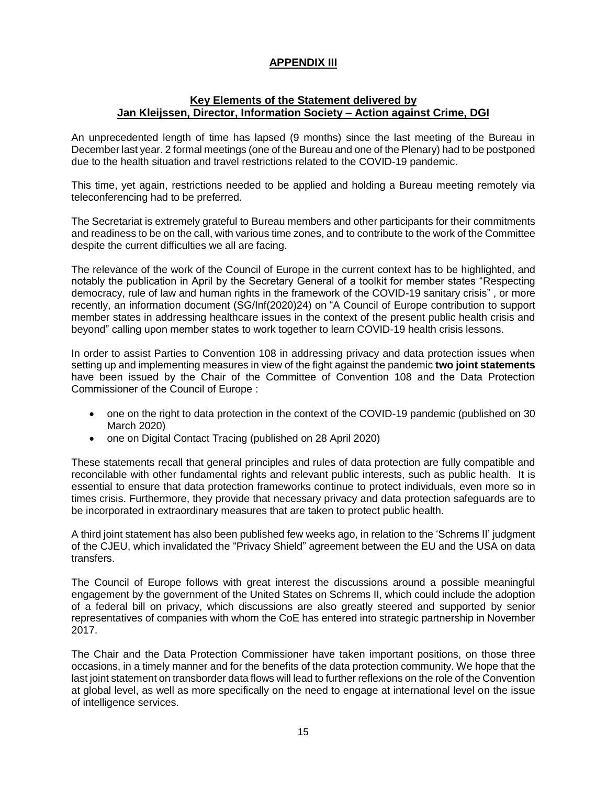# **APPENDIX III**

## **Key Elements of the Statement delivered by Jan Kleijssen, Director, Information Society – Action against Crime, DGI**

An unprecedented length of time has lapsed (9 months) since the last meeting of the Bureau in December last year. 2 formal meetings (one of the Bureau and one of the Plenary) had to be postponed due to the health situation and travel restrictions related to the COVID-19 pandemic.

This time, yet again, restrictions needed to be applied and holding a Bureau meeting remotely via teleconferencing had to be preferred.

The Secretariat is extremely grateful to Bureau members and other participants for their commitments and readiness to be on the call, with various time zones, and to contribute to the work of the Committee despite the current difficulties we all are facing.

The relevance of the work of the Council of Europe in the current context has to be highlighted, and notably the publication in April by the Secretary General of a toolkit for member states "Respecting democracy, rule of law and human rights in the framework of the COVID-19 sanitary crisis" , or more recently, an information document (SG/Inf(2020)24) on "A Council of Europe contribution to support member states in addressing healthcare issues in the context of the present public health crisis and beyond" calling upon member states to work together to learn COVID-19 health crisis lessons.

In order to assist Parties to Convention 108 in addressing privacy and data protection issues when setting up and implementing measures in view of the fight against the pandemic **two joint statements** have been issued by the Chair of the Committee of Convention 108 and the Data Protection Commissioner of the Council of Europe :

- one on the right to data protection in the context of the COVID-19 pandemic (published on 30 March 2020)
- one on Digital Contact Tracing (published on 28 April 2020)

These statements recall that general principles and rules of data protection are fully compatible and reconcilable with other fundamental rights and relevant public interests, such as public health. It is essential to ensure that data protection frameworks continue to protect individuals, even more so in times crisis. Furthermore, they provide that necessary privacy and data protection safeguards are to be incorporated in extraordinary measures that are taken to protect public health.

A third joint statement has also been published few weeks ago, in relation to the 'Schrems II' judgment of the CJEU, which invalidated the "Privacy Shield" agreement between the EU and the USA on data transfers.

The Council of Europe follows with great interest the discussions around a possible meaningful engagement by the government of the United States on Schrems II, which could include the adoption of a federal bill on privacy, which discussions are also greatly steered and supported by senior representatives of companies with whom the CoE has entered into strategic partnership in November 2017.

The Chair and the Data Protection Commissioner have taken important positions, on those three occasions, in a timely manner and for the benefits of the data protection community. We hope that the last joint statement on transborder data flows will lead to further reflexions on the role of the Convention at global level, as well as more specifically on the need to engage at international level on the issue of intelligence services.